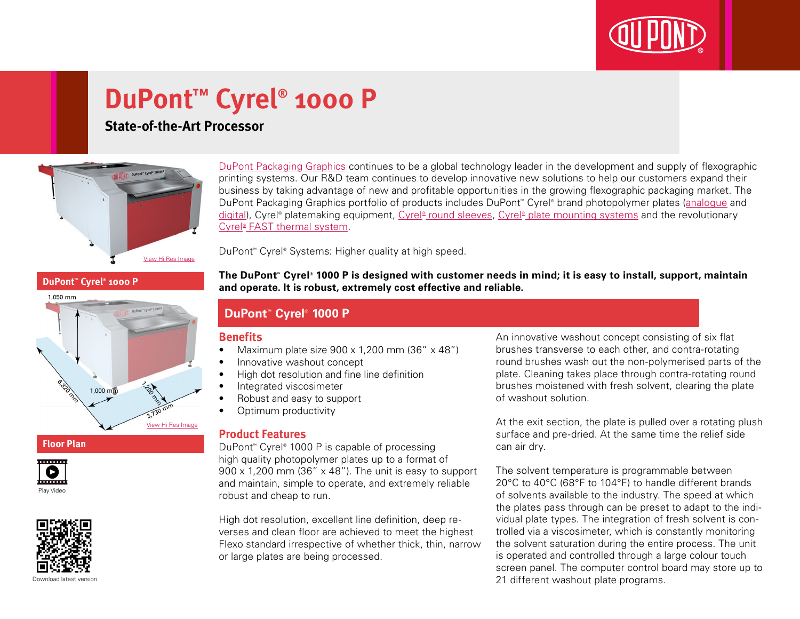

# **DuPont™ Cyrel® 1000 P**

# **State-of-the-Art Processor**



[DuPont Packaging Graphics](http://www2.dupont.com/Packaging_Graphics/en_GB/index.html) continues to be a global technology leader in the development and supply of flexographic printing systems. Our R&D team continues to develop innovative new solutions to help our customers expand their business by taking advantage of new and profitable opportunities in the growing flexographic packaging market. The DuPont Packaging Graphics portfolio of products includes DuPont™ Cyrel® brand photopolymer plates ([analogue](http://www2.dupont.com/Packaging_Graphics/en_GB/products/solvent_platemaking/index.html) and [digital\)](http://www2.dupont.com/Packaging_Graphics/en_GB/products/digital_wkflow/digital_workflow.html), Cyrel® platemaking equipment, Cyrel® [round sleeves](http://www2.dupont.com/Packaging_Graphics/en_GB/products/cyrel_round/index_cyrelround2.html), Cyrel® [plate mounting systems](http://www2.dupont.com/Packaging_Graphics/en_GB/products/mounting_systems/index.html) and the revolutionary Cyrel<sup>®</sup> [FAST thermal system.](http://www2.dupont.com/Packaging_Graphics/en_GB/products/cyrel_fast/cyrelfast_index.html)

DuPont™ Cyrel® Systems: Higher quality at high speed.

#### **DuPont™ Cyrel® 1000 P**



### **Floor Plan**





**The DuPont™ Cyrel® 1000 P is designed with customer needs in mind; it is easy to install, support, maintain and operate. It is robust, extremely cost effective and reliable.**

## **DuPont™ Cyrel® 1000 P**

#### **Benefits**

- Maximum plate size  $900 \times 1,200$  mm  $(36'' \times 48'')$
- Innovative washout concept
- • High dot resolution and fine line definition
- Integrated viscosimeter
- Robust and easy to support
- Optimum productivity

### **Product Features**

DuPont™ Cyrel® 1000 P is capable of processing high quality photopolymer plates up to a format of  $900 \times 1,200$  mm (36"  $\times$  48"). The unit is easy to support and maintain, simple to operate, and extremely reliable robust and cheap to run.

High dot resolution, excellent line definition, deep reverses and clean floor are achieved to meet the highest Flexo standard irrespective of whether thick, thin, narrow or large plates are being processed.

An innovative washout concept consisting of six flat brushes transverse to each other, and contra-rotating round brushes wash out the non-polymerised parts of the plate. Cleaning takes place through contra-rotating round brushes moistened with fresh solvent, clearing the plate of washout solution.

At the exit section, the plate is pulled over a rotating plush surface and pre-dried. At the same time the relief side can air dry.

The solvent temperature is programmable between 20°C to 40°C (68°F to 104°F) to handle different brands of solvents available to the industry. The speed at which the plates pass through can be preset to adapt to the individual plate types. The integration of fresh solvent is controlled via a viscosimeter, which is constantly monitoring the solvent saturation during the entire process. The unit is operated and controlled through a large colour touch screen panel. The computer control board may store up to 21 different washout plate programs.